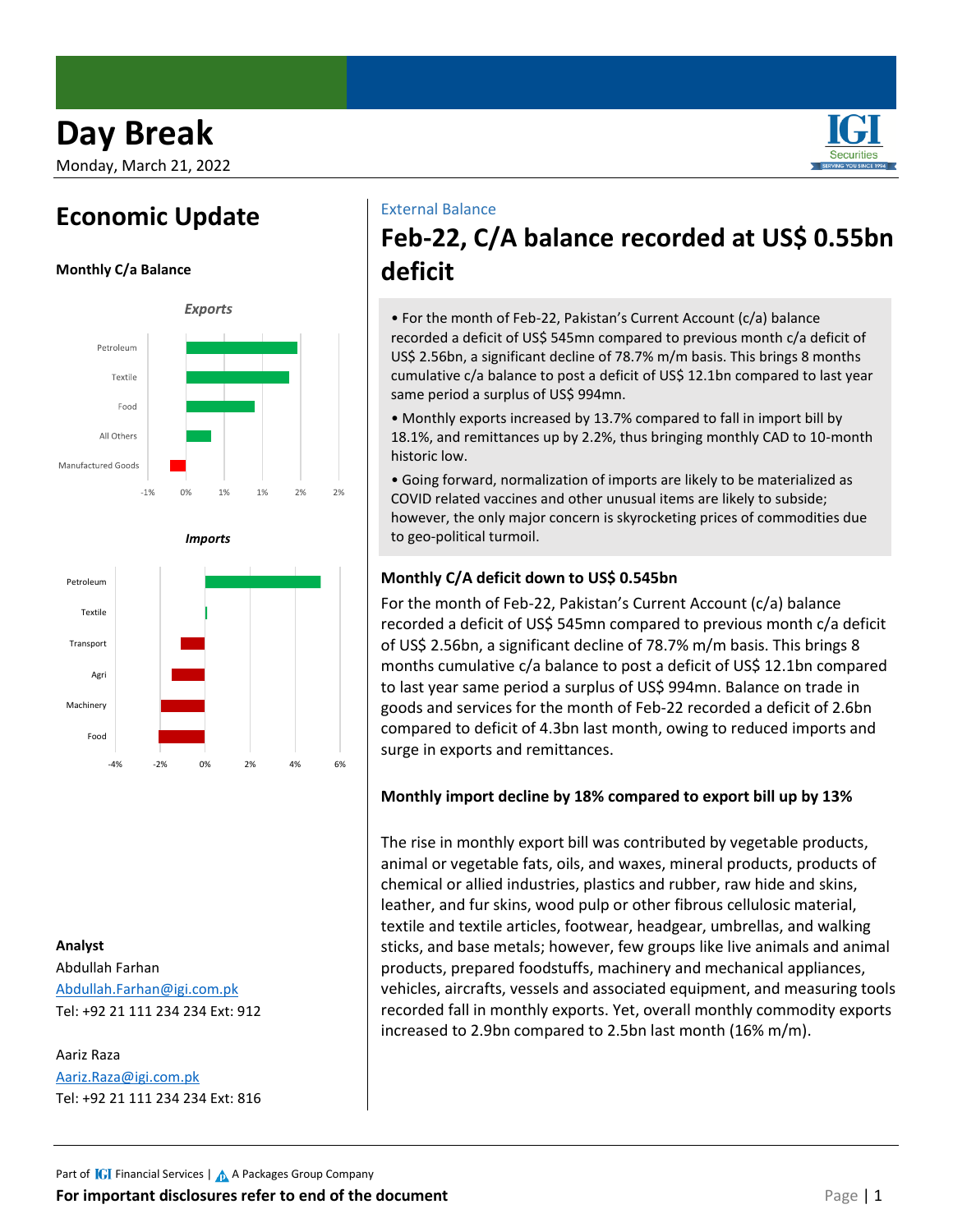# **Day Break**

Monday, March 21, 2022

# **Economic Update**







## **Analyst**

Abdullah Farhan [Abdullah.Farhan@igi.com.pk](mailto:Abdullah.Farhan@igi.com.pk) Tel: +92 21 111 234 234 Ext: 912

Aariz Raza [Aariz.Raza@igi.com.pk](mailto:Aariz.Raza@igi.com.pk) Tel: +92 21 111 234 234 Ext: 816

### External Balance

# **Feb-22, C/A balance recorded at US\$ 0.55bn deficit**

• For the month of Feb-22, Pakistan's Current Account (c/a) balance recorded a deficit of US\$ 545mn compared to previous month c/a deficit of US\$ 2.56bn, a significant decline of 78.7% m/m basis. This brings 8 months cumulative c/a balance to post a deficit of US\$ 12.1bn compared to last year same period a surplus of US\$ 994mn.

• Monthly exports increased by 13.7% compared to fall in import bill by 18.1%, and remittances up by 2.2%, thus bringing monthly CAD to 10-month historic low.

• Going forward, normalization of imports are likely to be materialized as COVID related vaccines and other unusual items are likely to subside; however, the only major concern is skyrocketing prices of commodities due to geo-political turmoil.

## **Monthly C/A deficit down to US\$ 0.545bn**

For the month of Feb-22, Pakistan's Current Account (c/a) balance recorded a deficit of US\$ 545mn compared to previous month c/a deficit of US\$ 2.56bn, a significant decline of 78.7% m/m basis. This brings 8 months cumulative c/a balance to post a deficit of US\$ 12.1bn compared to last year same period a surplus of US\$ 994mn. Balance on trade in goods and services for the month of Feb-22 recorded a deficit of 2.6bn compared to deficit of 4.3bn last month, owing to reduced imports and surge in exports and remittances.

## **Monthly import decline by 18% compared to export bill up by 13%**

The rise in monthly export bill was contributed by vegetable products, animal or vegetable fats, oils, and waxes, mineral products, products of chemical or allied industries, plastics and rubber, raw hide and skins, leather, and fur skins, wood pulp or other fibrous cellulosic material, textile and textile articles, footwear, headgear, umbrellas, and walking sticks, and base metals; however, few groups like live animals and animal products, prepared foodstuffs, machinery and mechanical appliances, vehicles, aircrafts, vessels and associated equipment, and measuring tools recorded fall in monthly exports. Yet, overall monthly commodity exports increased to 2.9bn compared to 2.5bn last month (16% m/m).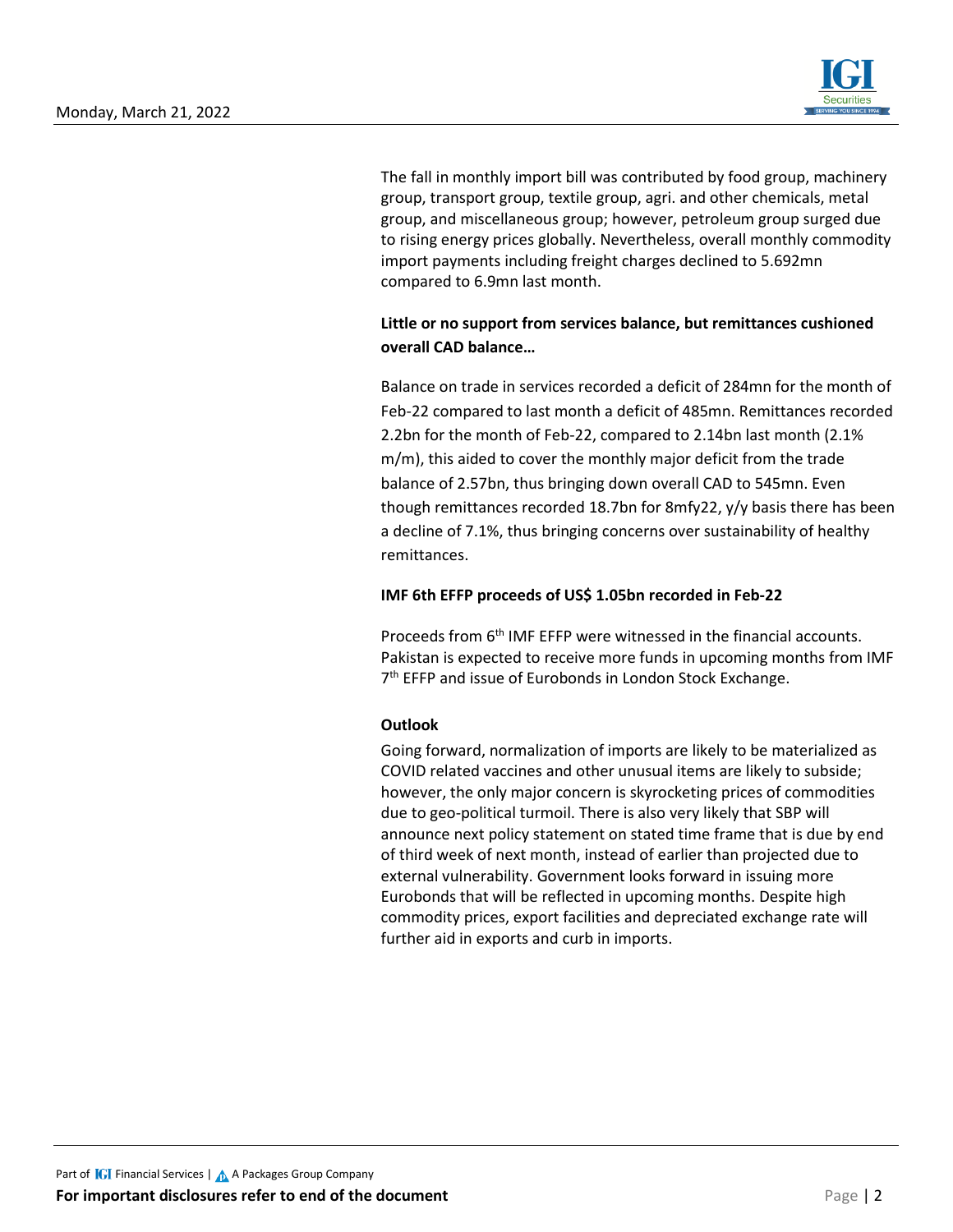

The fall in monthly import bill was contributed by food group, machinery group, transport group, textile group, agri. and other chemicals, metal group, and miscellaneous group; however, petroleum group surged due to rising energy prices globally. Nevertheless, overall monthly commodity import payments including freight charges declined to 5.692mn compared to 6.9mn last month.

## **Little or no support from services balance, but remittances cushioned overall CAD balance…**

Balance on trade in services recorded a deficit of 284mn for the month of Feb-22 compared to last month a deficit of 485mn. Remittances recorded 2.2bn for the month of Feb-22, compared to 2.14bn last month (2.1% m/m), this aided to cover the monthly major deficit from the trade balance of 2.57bn, thus bringing down overall CAD to 545mn. Even though remittances recorded 18.7bn for 8mfy22, y/y basis there has been a decline of 7.1%, thus bringing concerns over sustainability of healthy remittances.

### **IMF 6th EFFP proceeds of US\$ 1.05bn recorded in Feb-22**

Proceeds from 6<sup>th</sup> IMF EFFP were witnessed in the financial accounts. Pakistan is expected to receive more funds in upcoming months from IMF 7<sup>th</sup> EFFP and issue of Eurobonds in London Stock Exchange.

## **Outlook**

Going forward, normalization of imports are likely to be materialized as COVID related vaccines and other unusual items are likely to subside; however, the only major concern is skyrocketing prices of commodities due to geo-political turmoil. There is also very likely that SBP will announce next policy statement on stated time frame that is due by end of third week of next month, instead of earlier than projected due to external vulnerability. Government looks forward in issuing more Eurobonds that will be reflected in upcoming months. Despite high commodity prices, export facilities and depreciated exchange rate will further aid in exports and curb in imports.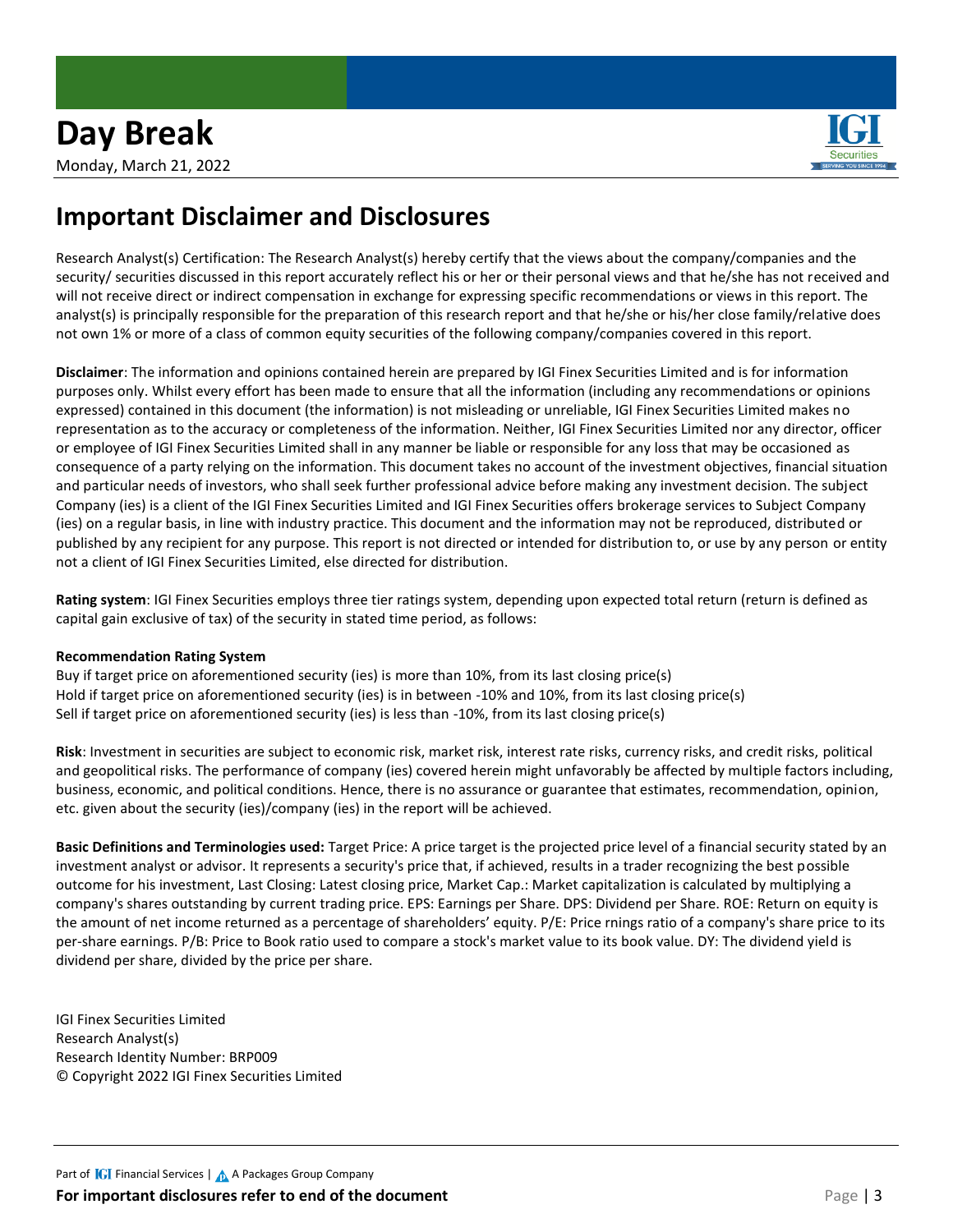

# **Important Disclaimer and Disclosures**

Research Analyst(s) Certification: The Research Analyst(s) hereby certify that the views about the company/companies and the security/ securities discussed in this report accurately reflect his or her or their personal views and that he/she has not received and will not receive direct or indirect compensation in exchange for expressing specific recommendations or views in this report. The analyst(s) is principally responsible for the preparation of this research report and that he/she or his/her close family/relative does not own 1% or more of a class of common equity securities of the following company/companies covered in this report.

**Disclaimer**: The information and opinions contained herein are prepared by IGI Finex Securities Limited and is for information purposes only. Whilst every effort has been made to ensure that all the information (including any recommendations or opinions expressed) contained in this document (the information) is not misleading or unreliable, IGI Finex Securities Limited makes no representation as to the accuracy or completeness of the information. Neither, IGI Finex Securities Limited nor any director, officer or employee of IGI Finex Securities Limited shall in any manner be liable or responsible for any loss that may be occasioned as consequence of a party relying on the information. This document takes no account of the investment objectives, financial situation and particular needs of investors, who shall seek further professional advice before making any investment decision. The subject Company (ies) is a client of the IGI Finex Securities Limited and IGI Finex Securities offers brokerage services to Subject Company (ies) on a regular basis, in line with industry practice. This document and the information may not be reproduced, distributed or published by any recipient for any purpose. This report is not directed or intended for distribution to, or use by any person or entity not a client of IGI Finex Securities Limited, else directed for distribution.

**Rating system**: IGI Finex Securities employs three tier ratings system, depending upon expected total return (return is defined as capital gain exclusive of tax) of the security in stated time period, as follows:

#### **Recommendation Rating System**

Buy if target price on aforementioned security (ies) is more than 10%, from its last closing price(s) Hold if target price on aforementioned security (ies) is in between -10% and 10%, from its last closing price(s) Sell if target price on aforementioned security (ies) is less than -10%, from its last closing price(s)

**Risk**: Investment in securities are subject to economic risk, market risk, interest rate risks, currency risks, and credit risks, political and geopolitical risks. The performance of company (ies) covered herein might unfavorably be affected by multiple factors including, business, economic, and political conditions. Hence, there is no assurance or guarantee that estimates, recommendation, opinion, etc. given about the security (ies)/company (ies) in the report will be achieved.

**Basic Definitions and Terminologies used:** Target Price: A price target is the projected price level of a financial security stated by an investment analyst or advisor. It represents a security's price that, if achieved, results in a trader recognizing the best possible outcome for his investment, Last Closing: Latest closing price, Market Cap.: Market capitalization is calculated by multiplying a company's shares outstanding by current trading price. EPS: Earnings per Share. DPS: Dividend per Share. ROE: Return on equity is the amount of net income returned as a percentage of shareholders' equity. P/E: Price rnings ratio of a company's share price to its per-share earnings. P/B: Price to Book ratio used to compare a stock's market value to its book value. DY: The dividend yield is dividend per share, divided by the price per share.

IGI Finex Securities Limited Research Analyst(s) Research Identity Number: BRP009 © Copyright 2022 IGI Finex Securities Limited